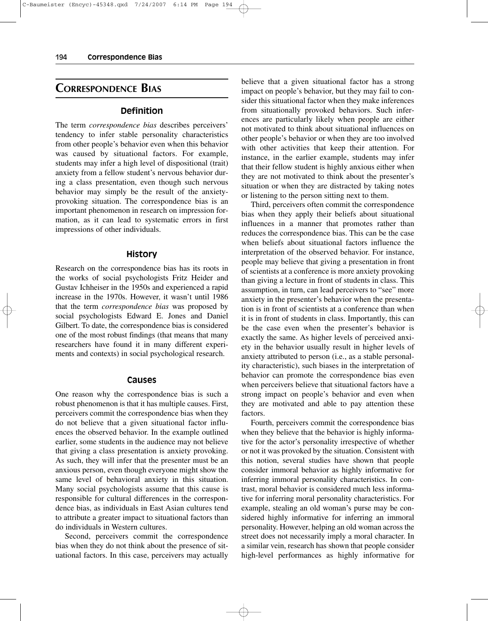$C-$ Baumeister (Encyc)-45348.qxd  $7/24/2007$  6:14 PM Page

# **CORRESPONDENCE BIAS**

## **Definition**

The term *correspondence bias* describes perceivers' tendency to infer stable personality characteristics from other people's behavior even when this behavior was caused by situational factors. For example, students may infer a high level of dispositional (trait) anxiety from a fellow student's nervous behavior during a class presentation, even though such nervous behavior may simply be the result of the anxietyprovoking situation. The correspondence bias is an important phenomenon in research on impression formation, as it can lead to systematic errors in first impressions of other individuals.

## **History**

Research on the correspondence bias has its roots in the works of social psychologists Fritz Heider and Gustav Ichheiser in the 1950s and experienced a rapid increase in the 1970s. However, it wasn't until 1986 that the term *correspondence bias* was proposed by social psychologists Edward E. Jones and Daniel Gilbert. To date, the correspondence bias is considered one of the most robust findings (that means that many researchers have found it in many different experiments and contexts) in social psychological research.

#### **Causes**

One reason why the correspondence bias is such a robust phenomenon is that it has multiple causes. First, perceivers commit the correspondence bias when they do not believe that a given situational factor influences the observed behavior. In the example outlined earlier, some students in the audience may not believe that giving a class presentation is anxiety provoking. As such, they will infer that the presenter must be an anxious person, even though everyone might show the same level of behavioral anxiety in this situation. Many social psychologists assume that this cause is responsible for cultural differences in the correspondence bias, as individuals in East Asian cultures tend to attribute a greater impact to situational factors than do individuals in Western cultures.

Second, perceivers commit the correspondence bias when they do not think about the presence of situational factors. In this case, perceivers may actually believe that a given situational factor has a strong impact on people's behavior, but they may fail to consider this situational factor when they make inferences from situationally provoked behaviors. Such inferences are particularly likely when people are either not motivated to think about situational influences on other people's behavior or when they are too involved with other activities that keep their attention. For instance, in the earlier example, students may infer that their fellow student is highly anxious either when they are not motivated to think about the presenter's situation or when they are distracted by taking notes or listening to the person sitting next to them.

Third, perceivers often commit the correspondence bias when they apply their beliefs about situational influences in a manner that promotes rather than reduces the correspondence bias. This can be the case when beliefs about situational factors influence the interpretation of the observed behavior. For instance, people may believe that giving a presentation in front of scientists at a conference is more anxiety provoking than giving a lecture in front of students in class. This assumption, in turn, can lead perceivers to "see" more anxiety in the presenter's behavior when the presentation is in front of scientists at a conference than when it is in front of students in class. Importantly, this can be the case even when the presenter's behavior is exactly the same. As higher levels of perceived anxiety in the behavior usually result in higher levels of anxiety attributed to person (i.e., as a stable personality characteristic), such biases in the interpretation of behavior can promote the correspondence bias even when perceivers believe that situational factors have a strong impact on people's behavior and even when they are motivated and able to pay attention these factors.

Fourth, perceivers commit the correspondence bias when they believe that the behavior is highly informative for the actor's personality irrespective of whether or not it was provoked by the situation. Consistent with this notion, several studies have shown that people consider immoral behavior as highly informative for inferring immoral personality characteristics. In contrast, moral behavior is considered much less informative for inferring moral personality characteristics. For example, stealing an old woman's purse may be considered highly informative for inferring an immoral personality. However, helping an old woman across the street does not necessarily imply a moral character. In a similar vein, research has shown that people consider high-level performances as highly informative for